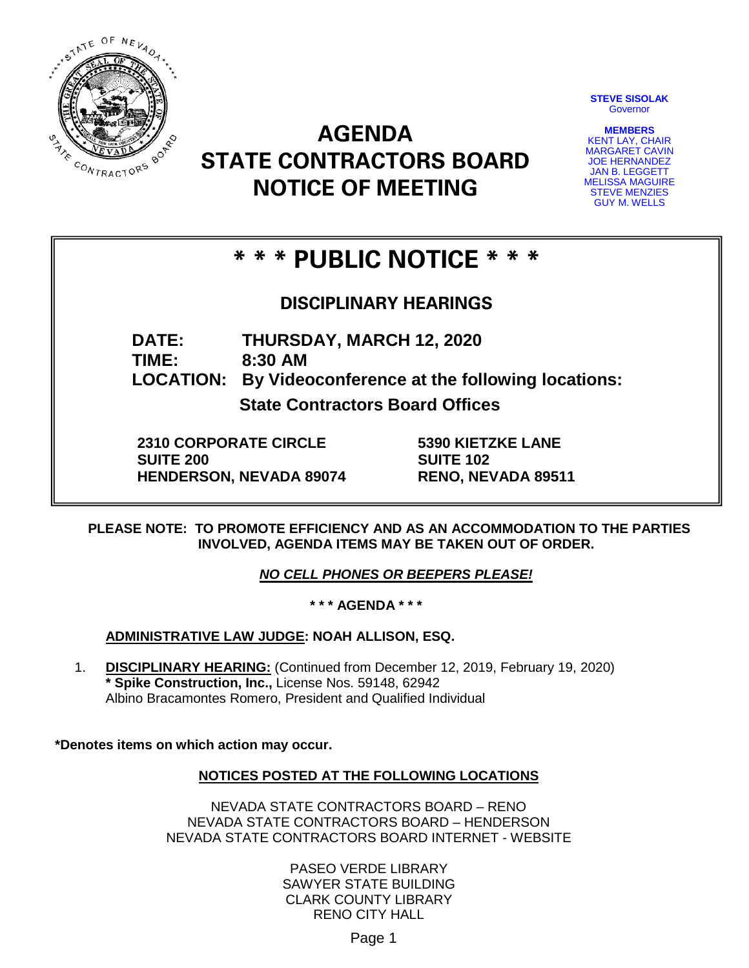

**STEVE SISOLAK Governor** 

**MEMBERS** KENT LAY, CHAIR MARGARET CAVIN JOE HERNANDEZ JAN B. LEGGETT MELISSA MAGUIRE STEVE MENZIES GUY M. WELLS

# **AGENDA STATE CONTRACTORS BOARD NOTICE OF MEETING**

## **\* \* \* PUBLIC NOTICE \* \* \***

### **DISCIPLINARY HEARINGS**

**DATE: THURSDAY, MARCH 12, 2020**

**TIME: 8:30 AM**

**LOCATION: By Videoconference at the following locations:**

**State Contractors Board Offices**

**2310 CORPORATE CIRCLE SUITE 200 HENDERSON, NEVADA 89074** **5390 KIETZKE LANE SUITE 102 RENO, NEVADA 89511**

**PLEASE NOTE: TO PROMOTE EFFICIENCY AND AS AN ACCOMMODATION TO THE PARTIES INVOLVED, AGENDA ITEMS MAY BE TAKEN OUT OF ORDER.**

*NO CELL PHONES OR BEEPERS PLEASE!* 

**\* \* \* AGENDA \* \* \***

**ADMINISTRATIVE LAW JUDGE: NOAH ALLISON, ESQ.** 

1. **DISCIPLINARY HEARING:** (Continued from December 12, 2019, February 19, 2020) **\* Spike Construction, Inc.,** License Nos. 59148, 62942 Albino Bracamontes Romero, President and Qualified Individual

**\*Denotes items on which action may occur.**

#### **NOTICES POSTED AT THE FOLLOWING LOCATIONS**

NEVADA STATE CONTRACTORS BOARD – RENO NEVADA STATE CONTRACTORS BOARD – HENDERSON NEVADA STATE CONTRACTORS BOARD INTERNET - WEBSITE

> PASEO VERDE LIBRARY SAWYER STATE BUILDING CLARK COUNTY LIBRARY RENO CITY HALL

> > Page 1